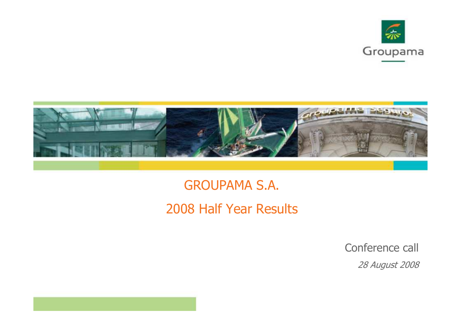



GROUPAMA S.A.2008 Half Year Results

Conference call

28 August 2008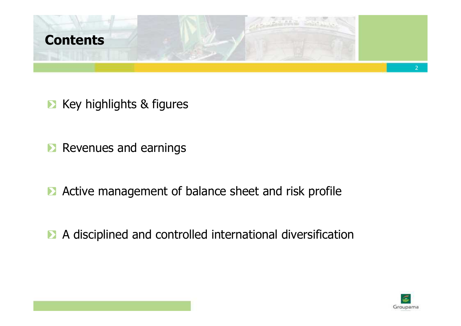

- **EX** Key highlights & figures
- **Revenues and earnings**
- **Active management of balance sheet and risk profile**
- A disciplined and controlled international diversification

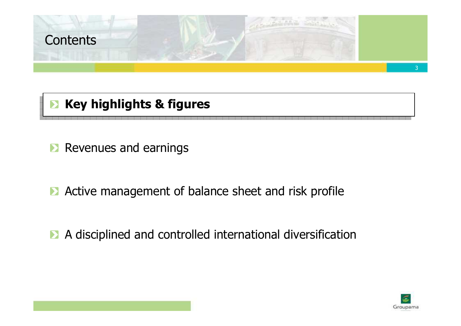

# **EX Key highlights & figures**

- **Revenues and earnings**
- **Active management of balance sheet and risk profile**
- A disciplined and controlled international diversification

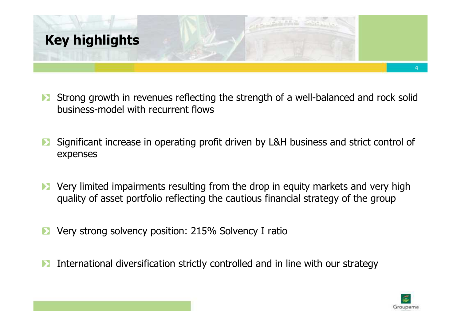

- Strong growth in revenues reflecting the strength of a well-balanced and rock solid business-model with recurrent flows
- Significant increase in operating profit driven by L&H business and strict control of  $\sum_{i=1}^{n}$ expenses
- Very limited impairments resulting from the drop in equity markets and very high  $\blacktriangleright$ quality of asset portfolio reflecting the cautious financial strategy of the group
- Very strong solvency position: 215% Solvency I ratio
- International diversification strictly controlled and in line with our strategy $\blacktriangleright$

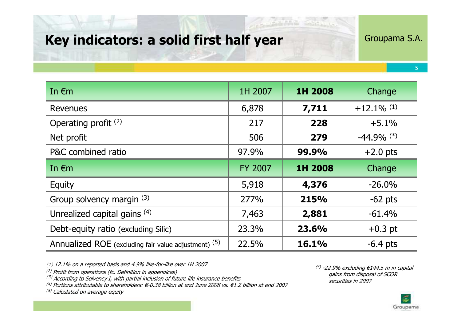## Key indicators: a solid first half year

Groupama S.A.

5

Annualized ROE (excluding fair value adjustment) (5) 22.5% 16.1% $\begin{array}{|c|c|c|c|c|}\hline \text{(5)} & \text{(22.5\%} & \text{(16.1\%)} & \text{(5.4 pts)} \ \hline \end{array}$ Debt-equity ratio (excluding Silic) 23.3% 23.6% $\frac{96}{\pi}$  +0.3 pt Unrealized capital gains  $(4)$  7,463 2,881 -61.4%Group solvency margin (3)  $\vert$  277% 215% $\begin{array}{|c|c|c|c|c|}\n\hline\n\text{(3)} & \text{277\%} & \text{215\%} & -62 \text{ pts} \\
\hline\n\text{(4)} & \text{7.462} & \text{2.981} & \text{61.40}\n\hline\n\end{array}$ **Equity** y 5,918 5,918 4,376 -26.0% $-62$  pts In €m FY 2007 1H 2008 Change P&C combined ratio 97.9% 99.9%99.9%  $+2.0 \text{ pts}$ <br>1H 2008 Change **279** 1 -44.9% (\*) Net profit <sup>506</sup> Operating profit<sup>(2)</sup> 217 <sup>228</sup> +5.1%**7,711**  $+12.1\%$  <sup>(1)</sup> Revenues 6,878 7,711 +12.1% (1) In €mm 1H 2007 1H 2008 Change

(1) 12.1% on a reported basis and 4.9% like-for-like over 1H 2007

(2) Profit from operations (fc. Definition in appendices)

 $(3)$  According to Solvency I, with partial inclusion of future life insurance benefits

(4) Portions attributable to shareholders: €-0.38 billion at end June 2008 vs. €1.2 billion at end 2007

<sup>(5)</sup> Calculated on average equity

 $(*)$  -22.9% excluding  $€144.5$  m in capital gains from disposal of SCOR securities in 2007

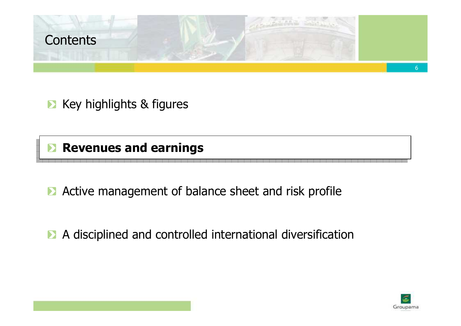

**EX** Key highlights & figures

**Revenues and earnings** 

**Active management of balance sheet and risk profile** 

A disciplined and controlled international diversification

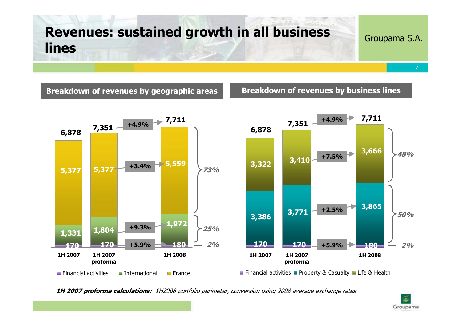# Revenues: sustained growth in all business lines

#### Groupama S.A.

Breakdown of revenues by geographic areas **Breakdown of revenues by business lines** 



1H 2007 proforma calculations: 1H2008 portfolio perimeter, conversion using 2008 average exchange rates

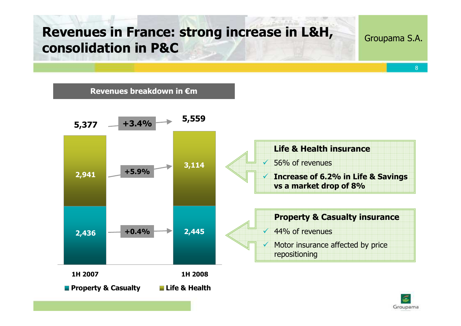# Revenues in France: strong increase in L&H, consolidation in P&C

Groupama S.A.

8

Revenues breakdown in €m



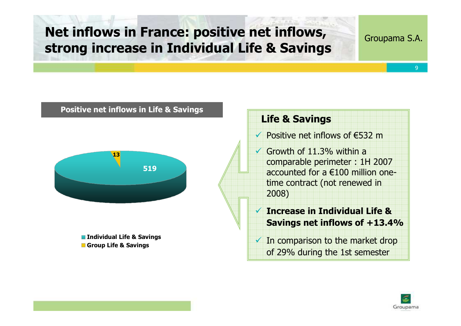# Net inflows in France: positive net inflows, strong increase in Individual Life & Savings

Groupama S.A.

9

#### Positive net inflows in Life & Savings



**n** Individual Life & Savings Group Life & Savings

## Life & Savings

 $\checkmark$  Positive net inflows of €532 m

Growth of  $11.3\%$  within a comparable perimeter : 1H 2007 accounted for a €100 million onetime contract (not renewed in 2008)

 $\checkmark$  Increase in Individual Life & Savings net inflows of +13.4%

 $\checkmark$  In comparison to the market drop of 29% during the 1st semester

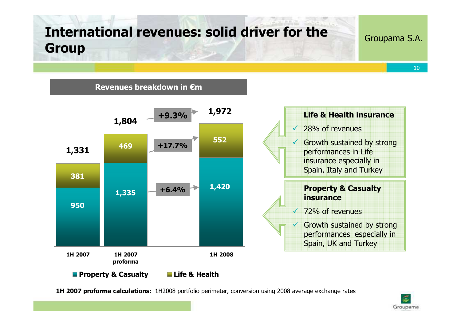# International revenues: solid driver for the Group

Revenues breakdown in €m

#### Groupama S.A.

10



1H 2007 proforma calculations: 1H2008 portfolio perimeter, conversion using 2008 average exchange rates

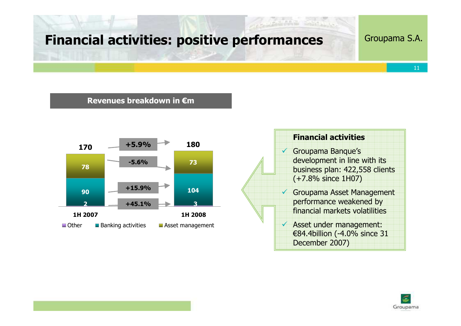## Financial activities: positive performances

#### Groupama S.A.

#### Revenues breakdown in €m





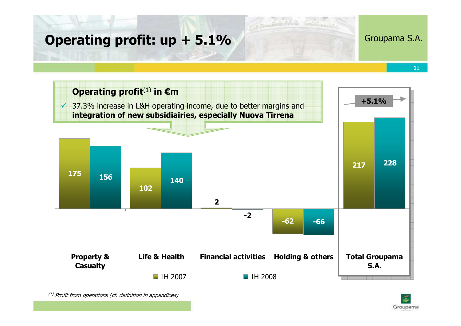## Operating profit: up + 5.1%

#### Groupama S.A.

12



 $^{(1)}$  Profit from operations (cf. definition in appendices)

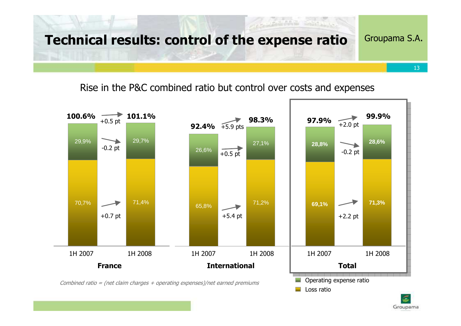

## Rise in the P&C combined ratio but control over costs and expenses



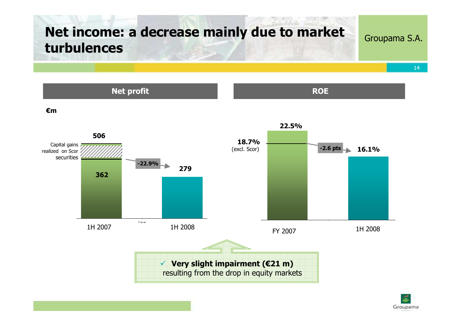# Net income: a decrease mainly due to market turbulences

Net profit

### Groupama S.A.

**ROE** 

14

€m



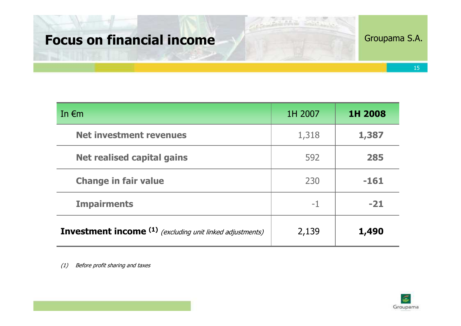# Focus on financial income

## Groupama S.A.

| In $\epsilon$ m                                                             | 1H 2007 | 1H 2008 |
|-----------------------------------------------------------------------------|---------|---------|
| <b>Net investment revenues</b>                                              | 1,318   | 1,387   |
| <b>Net realised capital gains</b>                                           | 592     | 285     |
| <b>Change in fair value</b>                                                 | 230     | $-161$  |
| <b>Impairments</b>                                                          | $-1$    | $-21$   |
| <b>Investment income</b> <sup>(1)</sup> (excluding unit linked adjustments) | 2,139   | 1,490   |

(1) Before profit sharing and taxes

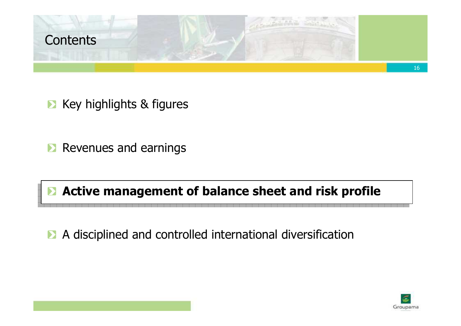

**EX** Key highlights & figures

**Revenues and earnings** 

# **Active management of balance sheet and risk profile**

A disciplined and controlled international diversification

Groupama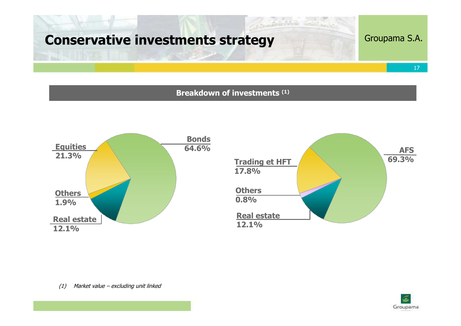# Conservative investments strategy

## Groupama S.A.

17

#### Breakdown of investments (1)





(1) Market value – excluding unit linked

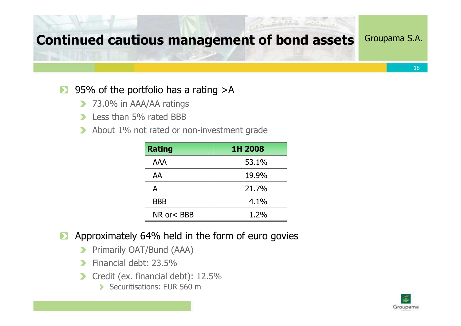# Continued cautious management of bond assets

#### 95% of the portfolio has a rating >A $\mathbf{D}$

- **73.0% in AAA/AA ratings**
- Less than 5% rated BBB $\rightarrow$
- About 1% not rated or non-investment grade $\rightarrow$

| <b>Rating</b> | 1H 2008 |
|---------------|---------|
| <b>AAA</b>    | 53.1%   |
| AA            | 19.9%   |
| А             | 21.7%   |
| <b>BBB</b>    | 4.1%    |
| NR or< BBB    | 1.2%    |

- Approximately 64% held in the form of euro govies $\blacktriangleright$ 
	- Primarily OAT/Bund (AAA)**D**
	- Financial debt: 23.5%>
	- Credit (ex. financial debt): 12.5% $\rightarrow$ 
		- Securitisations: FUR 560 m

![](_page_17_Picture_11.jpeg)

18

Groupama S.A.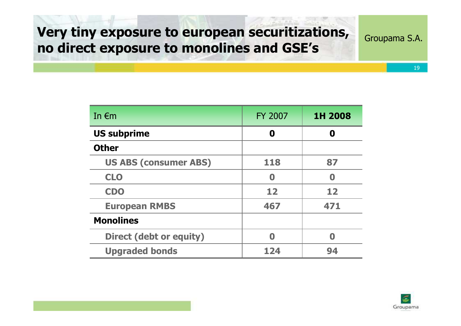# Very tiny exposure to european securitizations, no direct exposure to monolines and GSE's

Groupama S.A.

| In $\epsilon$ m              | <b>FY 2007</b>   | 1H 2008 |
|------------------------------|------------------|---------|
| <b>US subprime</b>           | 0                | Ω       |
| <b>Other</b>                 |                  |         |
| <b>US ABS (consumer ABS)</b> | 118              | 87      |
| <b>CLO</b>                   | $\boldsymbol{0}$ | Ω       |
| <b>CDO</b>                   | 12               | 12      |
| <b>European RMBS</b>         | 467              | 471     |
| <b>Monolines</b>             |                  |         |
| Direct (debt or equity)      | 0                | N       |
| <b>Upgraded bonds</b>        | 124              | 94      |

![](_page_18_Picture_3.jpeg)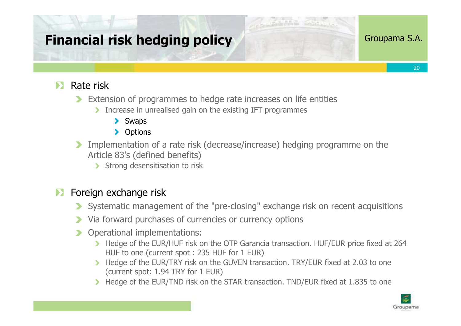# Financial risk hedging policy

### Groupama S.A.

20

 $\triangleright$  Rate risk

- Extension of programmes to hedge rate increases on life entities
	- Increase in unrealised gain on the existing IFT programmes
		- > Swaps
		- **>** Options
- Implementation of a rate risk (decrease/increase) hedging programme on the Article 83's (defined benefits)
	- Strong desensitisation to risk

## **Exercise** Foreign exchange risk

- Systematic management of the "pre-closing" exchange risk on recent acquisitions
- Via forward purchases of currencies or currency options
- **D** Operational implementations:
	- Hedge of the EUR/HUF risk on the OTP Garancia transaction. HUF/EUR price fixed at 264<br>HUF to one Crurrent spot : 235 HUF for 1 FUR) HUF to one (current spot : 235 HUF for 1 EUR)
	- Hedge of the EUR/TRY risk on the GUVEN transaction. TRY/EUR fixed at 2.03 to one (current spot: 1.94 TRY for 1 EUR)
	- Hedge of the EUR/TND risk on the STAR transaction. TND/EUR fixed at 1.835 to one

![](_page_19_Picture_16.jpeg)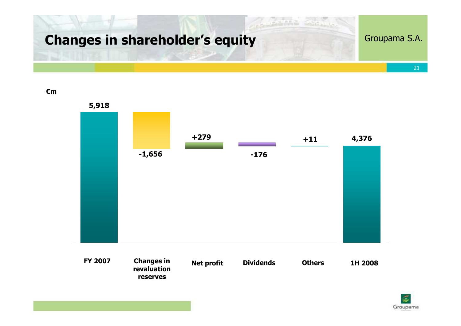![](_page_20_Picture_0.jpeg)

€m

![](_page_20_Figure_2.jpeg)

![](_page_20_Picture_3.jpeg)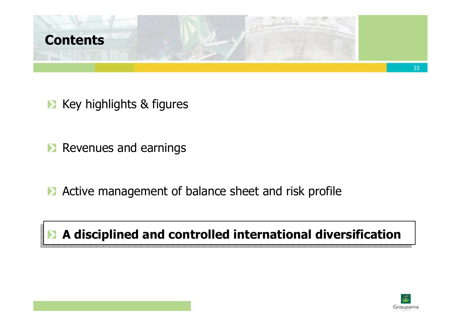![](_page_21_Picture_0.jpeg)

**EX** Key highlights & figures

**Revenues and earnings** 

**Active management of balance sheet and risk profile** 

# A disciplined and controlled international diversification

![](_page_21_Picture_5.jpeg)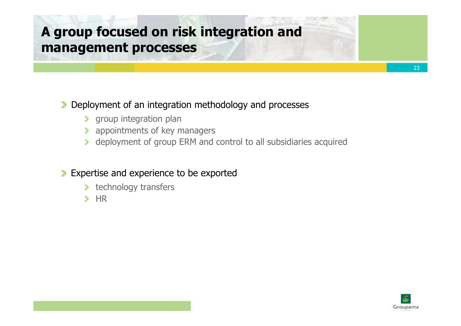# A group focused on risk integration and management processes

## Deployment of an integration methodology and processes

- **>** group integration plan
- appointments of key managers
- deployment of group ERM and control to all subsidiaries acquired

## **Expertise and experience to be exported**

- **technology transfers**
- $H$

![](_page_22_Picture_8.jpeg)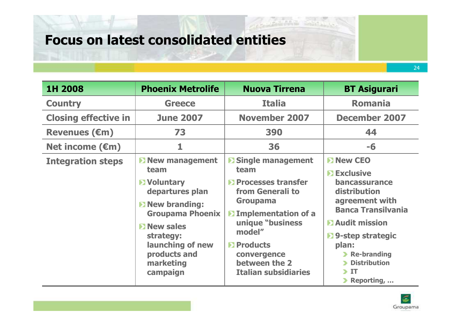# Focus on latest consolidated entities

| 1H 2008                     | <b>Phoenix Metrolife</b>                                                                                                                                                                                                       | <b>Nuova Tirrena</b>                                                                                                                                                                                                                                       | <b>BT Asigurari</b>                                                                                                                                                                                                                             |
|-----------------------------|--------------------------------------------------------------------------------------------------------------------------------------------------------------------------------------------------------------------------------|------------------------------------------------------------------------------------------------------------------------------------------------------------------------------------------------------------------------------------------------------------|-------------------------------------------------------------------------------------------------------------------------------------------------------------------------------------------------------------------------------------------------|
| <b>Country</b>              | <b>Greece</b>                                                                                                                                                                                                                  | <b>Italia</b>                                                                                                                                                                                                                                              | <b>Romania</b>                                                                                                                                                                                                                                  |
| <b>Closing effective in</b> | <b>June 2007</b>                                                                                                                                                                                                               | <b>November 2007</b>                                                                                                                                                                                                                                       | <b>December 2007</b>                                                                                                                                                                                                                            |
| <b>Revenues (€m)</b>        | 73                                                                                                                                                                                                                             | 390                                                                                                                                                                                                                                                        | 44                                                                                                                                                                                                                                              |
| Net income $(\epsilon m)$   | 1                                                                                                                                                                                                                              | 36                                                                                                                                                                                                                                                         | $-6$                                                                                                                                                                                                                                            |
| <b>Integration steps</b>    | <b>D</b> New management<br>team<br><b>E</b> Voluntary<br>departures plan<br><b>E</b> New branding:<br><b>Groupama Phoenix</b><br><b>EX New sales</b><br>strategy:<br>launching of new<br>products and<br>marketing<br>campaign | <b>D</b> Single management<br>team<br><b>D</b> Processes transfer<br>from Generali to<br><b>Groupama</b><br><b>D</b> Implementation of a<br>unique "business<br>model"<br><b>D</b> Products<br>convergence<br>between the 2<br><b>Italian subsidiaries</b> | <b>E</b> New CEO<br><b>Exclusive</b><br><b>bancassurance</b><br>distribution<br>agreement with<br><b>Banca Transilvania</b><br><b>E</b> Audit mission<br>▶ 9-step strategic<br>plan:<br>Re-branding<br><b>Distribution</b><br>-IT<br>Reporting, |

![](_page_23_Picture_3.jpeg)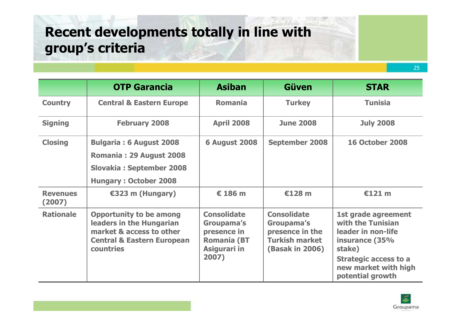# Recent developments totally in line with group's criteria

|                           | <b>OTP Garancia</b>                                                                                                                          | <b>Asiban</b>                                                                                  | <b>Güven</b>                                                                                           | <b>STAR</b>                                                                                                                                                            |
|---------------------------|----------------------------------------------------------------------------------------------------------------------------------------------|------------------------------------------------------------------------------------------------|--------------------------------------------------------------------------------------------------------|------------------------------------------------------------------------------------------------------------------------------------------------------------------------|
| <b>Country</b>            | <b>Central &amp; Eastern Europe</b>                                                                                                          | <b>Romania</b>                                                                                 | <b>Turkey</b>                                                                                          | <b>Tunisia</b>                                                                                                                                                         |
| <b>Signing</b>            | <b>February 2008</b>                                                                                                                         | <b>April 2008</b>                                                                              | <b>June 2008</b>                                                                                       | <b>July 2008</b>                                                                                                                                                       |
| <b>Closing</b>            | <b>Bulgaria: 6 August 2008</b><br>Romania: 29 August 2008<br><b>Slovakia: September 2008</b><br><b>Hungary: October 2008</b>                 | <b>6 August 2008</b>                                                                           | <b>September 2008</b>                                                                                  | <b>16 October 2008</b>                                                                                                                                                 |
| <b>Revenues</b><br>(2007) | €323 m (Hungary)                                                                                                                             | € 186 m                                                                                        | €128 m                                                                                                 | €121 m                                                                                                                                                                 |
| <b>Rationale</b>          | <b>Opportunity to be among</b><br>leaders in the Hungarian<br>market & access to other<br><b>Central &amp; Eastern European</b><br>countries | <b>Consolidate</b><br>Groupama's<br>presence in<br><b>Romania (BT</b><br>Asigurari in<br>2007) | <b>Consolidate</b><br>Groupama's<br>presence in the<br><b>Turkish market</b><br><b>(Basak in 2006)</b> | 1st grade agreement<br>with the Tunisian<br>leader in non-life<br>insurance (35%<br>stake)<br><b>Strategic access to a</b><br>new market with high<br>potential growth |

![](_page_24_Picture_3.jpeg)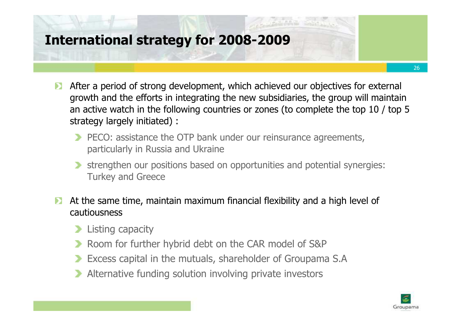# International strategy for 2008-2009

- After a period of strong development, which achieved our objectives for external  $\blacktriangleright$ growth and the efforts in integrating the new subsidiaries, the group will maintain an active watch in the following countries or zones (to complete the top 10 / top 5 strategy largely initiated) :
	- **PECO:** assistance the OTP bank under our reinsurance agreements, particularly in Russia and Ukraine
	- strengthen our positions based on opportunities and potential synergies: Turkey and Greece
- At the same time, maintain maximum financial flexibility and a high level of cautiousness
	- **Listing capacity**
	- Room for further hybrid debt on the CAR model of S&P
	- Excess capital in the mutuals, shareholder of Groupama S.A
	- Alternative funding solution involving private investors

![](_page_25_Picture_9.jpeg)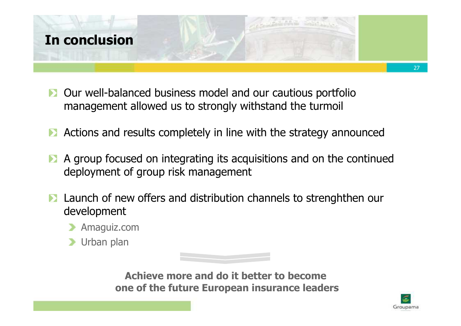![](_page_26_Picture_0.jpeg)

- **D** Our well-balanced business model and our cautious portfolio management allowed us to strongly withstand the turmoil
- Actions and results completely in line with the strategy announced
- A group focused on integrating its acquisitions and on the continued deployment of group risk management
- **D** Launch of new offers and distribution channels to strenghthen our development
	- Amaguiz.com
	- **D** Urban plan

![](_page_26_Picture_7.jpeg)

Achieve more and do it better to become one of the future European insurance leaders

![](_page_26_Picture_9.jpeg)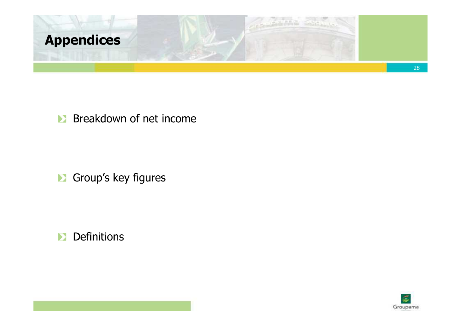![](_page_27_Picture_0.jpeg)

## **Breakdown of net income**

**B** Group's key figures

**Definitions**  $\sum_{i=1}^{n}$ 

![](_page_27_Picture_4.jpeg)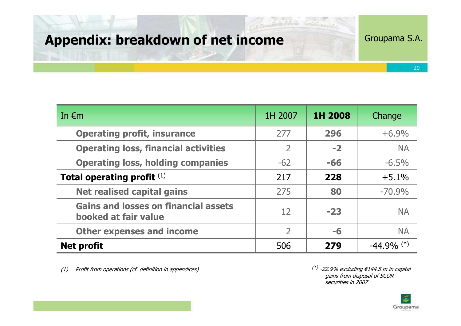# Appendix: breakdown of net income

## Groupama S.A.

29

| In $\epsilon$ m                                                     | 1H 2007       | 1H 2008 | Change        |
|---------------------------------------------------------------------|---------------|---------|---------------|
| <b>Operating profit, insurance</b>                                  | 277           | 296     | $+6.9%$       |
| <b>Operating loss, financial activities</b>                         | 2             | $-2$    | <b>NA</b>     |
| <b>Operating loss, holding companies</b>                            | $-62$         | $-66$   | $-6.5\%$      |
| Total operating profit (1)                                          | 217           | 228     | $+5.1%$       |
| <b>Net realised capital gains</b>                                   | 275           | 80      | $-70.9%$      |
| <b>Gains and losses on financial assets</b><br>booked at fair value | 12            | $-23$   | <b>NA</b>     |
| <b>Other expenses and income</b>                                    | $\mathcal{P}$ | -6      | <b>NA</b>     |
| <b>Net profit</b>                                                   | 506           | 279     | $-44.9\%$ (*) |

(1) Profit from operations (cf. definition in appendices)  $(*)$  -22.9% excluding  $\in$ 144.5 m in capital

gains from disposal of SCOR securities in 2007

![](_page_28_Picture_6.jpeg)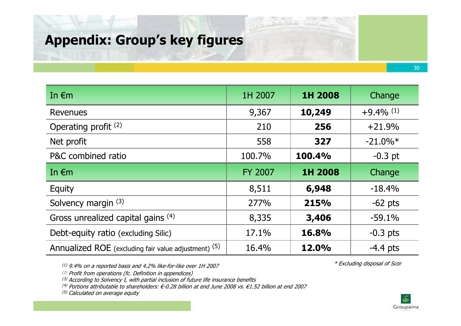# Appendix: Group's key figures

| In $\epsilon$ m                                      | 1H 2007        | 1H 2008 | Change                  |
|------------------------------------------------------|----------------|---------|-------------------------|
| Revenues                                             | 9,367          | 10,249  | $+9.4\%$ <sup>(1)</sup> |
| Operating profit <sup>(2)</sup>                      | 210            | 256     | $+21.9%$                |
| Net profit                                           | 558            | 327     | $-21.0\%*$              |
| P&C combined ratio                                   | 100.7%         | 100.4%  | $-0.3$ pt               |
| In $\epsilon$ m                                      | <b>FY 2007</b> | 1H 2008 | Change                  |
| Equity                                               | 8,511          | 6,948   | $-18.4%$                |
| Solvency margin (3)                                  | 277%           | 215%    | $-62$ pts               |
| Gross unrealized capital gains (4)                   | 8,335          | 3,406   | $-59.1%$                |
| Debt-equity ratio (excluding Silic)                  | 17.1%          | 16.8%   | $-0.3$ pts              |
| Annualized ROE (excluding fair value adjustment) (5) | 16.4%          | 12.0%   | $-4.4$ pts              |
|                                                      |                |         |                         |

(1) 9.4% on a reported basis and 4.2% like-for-like over 1H 2007

(2) Profit from operations (fc. Definition in appendices)

 $^{(3)}$  According to Solvency I, with partial inclusion of future life insurance benefits

(4) Portions attributable to shareholders: €-0.28 billion at end June 2008 vs. €1.52 billion at end 2007

<sup>(5)</sup> Calculated on average equity

\* Excluding disposal of Scor

![](_page_29_Picture_8.jpeg)

![](_page_29_Picture_9.jpeg)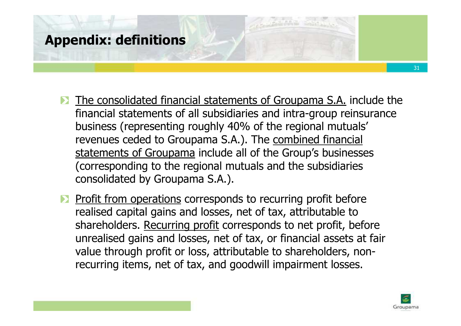# Appendix: definitions

- The consolidated financial statements of Groupama S.A. include the  $\blacktriangleright$ financial statements of all subsidiaries and intra-group reinsurance business (representing roughly 40% of the regional mutuals' revenues ceded to Groupama S.A.). The combined financial statements of Groupama include all of the Group's businesses (corresponding to the regional mutuals and the subsidiaries consolidated by Groupama S.A.).
- Profit from operations corresponds to recurring profit before realised capital gains and losses, net of tax, attributable to shareholders. Recurring profit corresponds to net profit, before unrealised gains and losses, net of tax, or financial assets at fair value through profit or loss, attributable to shareholders, nonrecurring items, net of tax, and goodwill impairment losses.

![](_page_30_Picture_3.jpeg)